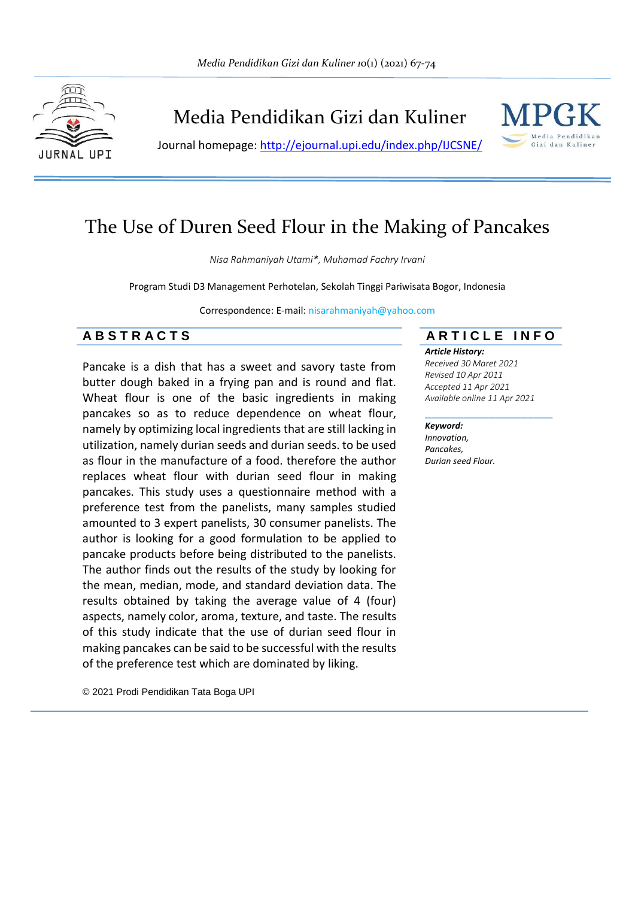

Media Pendidikan Gizi dan Kuliner

Journal homepage:<http://ejournal.upi.edu/index.php/IJCSNE/>



# The Use of Duren Seed Flour in the Making of Pancakes

*Nisa Rahmaniyah Utami\*, Muhamad Fachry Irvani*

Program Studi D3 Management Perhotelan, Sekolah Tinggi Pariwisata Bogor, Indonesia

Correspondence: E-mail: nisarahmaniyah@yahoo.com

# **A B S T R A C T S A R T I C L E I N F O**

Pancake is a dish that has a sweet and savory taste from butter dough baked in a frying pan and is round and flat. Wheat flour is one of the basic ingredients in making pancakes so as to reduce dependence on wheat flour, namely by optimizing local ingredients that are still lacking in utilization, namely durian seeds and durian seeds. to be used as flour in the manufacture of a food. therefore the author replaces wheat flour with durian seed flour in making pancakes. This study uses a questionnaire method with a preference test from the panelists, many samples studied amounted to 3 expert panelists, 30 consumer panelists. The author is looking for a good formulation to be applied to pancake products before being distributed to the panelists. The author finds out the results of the study by looking for the mean, median, mode, and standard deviation data. The results obtained by taking the average value of 4 (four) aspects, namely color, aroma, texture, and taste. The results of this study indicate that the use of durian seed flour in making pancakes can be said to be successful with the results of the preference test which are dominated by liking.

© 2021 Prodi Pendidikan Tata Boga UPI

#### *Article History:*

*Received 30 Maret 2021 Revised 10 Apr 2011 Accepted 11 Apr 2021 Available online 11 Apr 2021*

\_\_\_\_\_\_\_\_\_\_\_\_\_\_\_\_\_\_\_\_

#### *Keyword:*

*Innovation, Pancakes, Durian seed Flour.*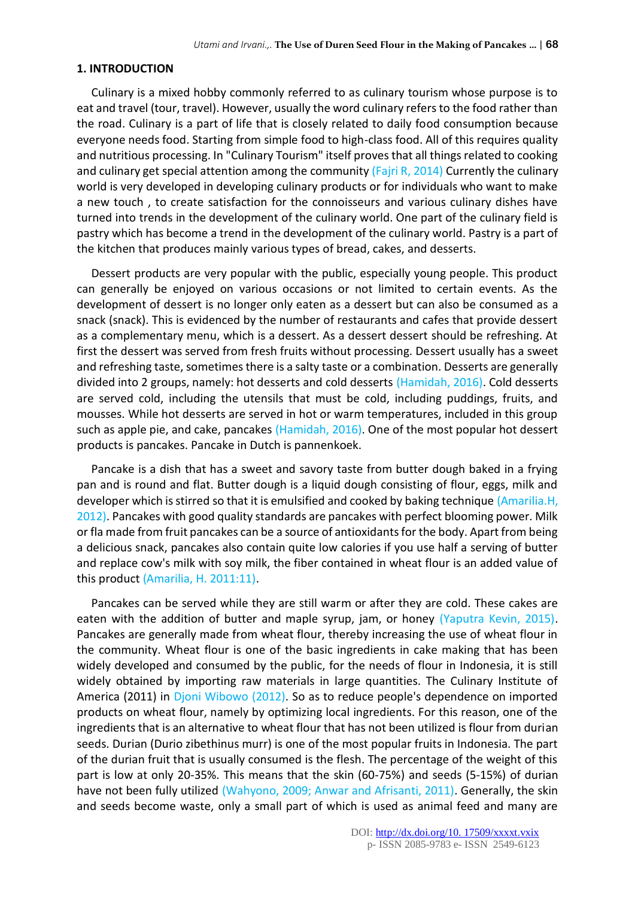### **1. INTRODUCTION**

Culinary is a mixed hobby commonly referred to as culinary tourism whose purpose is to eat and travel (tour, travel). However, usually the word culinary refers to the food rather than the road. Culinary is a part of life that is closely related to daily food consumption because everyone needs food. Starting from simple food to high-class food. All of this requires quality and nutritious processing. In "Culinary Tourism" itself proves that all things related to cooking and culinary get special attention among the community ( $Fajri R$ , 2014) Currently the culinary world is very developed in developing culinary products or for individuals who want to make a new touch , to create satisfaction for the connoisseurs and various culinary dishes have turned into trends in the development of the culinary world. One part of the culinary field is pastry which has become a trend in the development of the culinary world. Pastry is a part of the kitchen that produces mainly various types of bread, cakes, and desserts.

Dessert products are very popular with the public, especially young people. This product can generally be enjoyed on various occasions or not limited to certain events. As the development of dessert is no longer only eaten as a dessert but can also be consumed as a snack (snack). This is evidenced by the number of restaurants and cafes that provide dessert as a complementary menu, which is a dessert. As a dessert dessert should be refreshing. At first the dessert was served from fresh fruits without processing. Dessert usually has a sweet and refreshing taste, sometimes there is a salty taste or a combination. Desserts are generally divided into 2 groups, namely: hot desserts and cold desserts (Hamidah, 2016). Cold desserts are served cold, including the utensils that must be cold, including puddings, fruits, and mousses. While hot desserts are served in hot or warm temperatures, included in this group such as apple pie, and cake, pancakes (Hamidah, 2016). One of the most popular hot dessert products is pancakes. Pancake in Dutch is pannenkoek.

Pancake is a dish that has a sweet and savory taste from butter dough baked in a frying pan and is round and flat. Butter dough is a liquid dough consisting of flour, eggs, milk and developer which is stirred so that it is emulsified and cooked by baking technique (Amarilia.H, 2012). Pancakes with good quality standards are pancakes with perfect blooming power. Milk or fla made from fruit pancakes can be a source of antioxidants for the body. Apart from being a delicious snack, pancakes also contain quite low calories if you use half a serving of butter and replace cow's milk with soy milk, the fiber contained in wheat flour is an added value of this product (Amarilia, H. 2011:11).

Pancakes can be served while they are still warm or after they are cold. These cakes are eaten with the addition of butter and maple syrup, jam, or honey (Yaputra Kevin, 2015). Pancakes are generally made from wheat flour, thereby increasing the use of wheat flour in the community. Wheat flour is one of the basic ingredients in cake making that has been widely developed and consumed by the public, for the needs of flour in Indonesia, it is still widely obtained by importing raw materials in large quantities. The Culinary Institute of America (2011) in Djoni Wibowo (2012). So as to reduce people's dependence on imported products on wheat flour, namely by optimizing local ingredients. For this reason, one of the ingredients that is an alternative to wheat flour that has not been utilized is flour from durian seeds. Durian (Durio zibethinus murr) is one of the most popular fruits in Indonesia. The part of the durian fruit that is usually consumed is the flesh. The percentage of the weight of this part is low at only 20-35%. This means that the skin (60-75%) and seeds (5-15%) of durian have not been fully utilized (Wahyono, 2009; Anwar and Afrisanti, 2011). Generally, the skin and seeds become waste, only a small part of which is used as animal feed and many are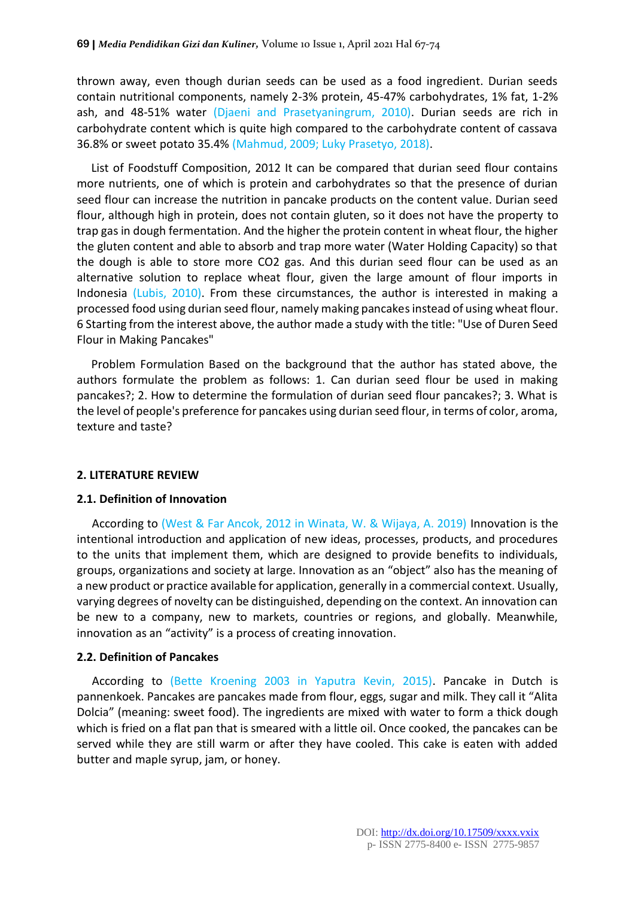thrown away, even though durian seeds can be used as a food ingredient. Durian seeds contain nutritional components, namely 2-3% protein, 45-47% carbohydrates, 1% fat, 1-2% ash, and 48-51% water (Djaeni and Prasetyaningrum, 2010). Durian seeds are rich in carbohydrate content which is quite high compared to the carbohydrate content of cassava 36.8% or sweet potato 35.4% (Mahmud, 2009; Luky Prasetyo, 2018).

List of Foodstuff Composition, 2012 It can be compared that durian seed flour contains more nutrients, one of which is protein and carbohydrates so that the presence of durian seed flour can increase the nutrition in pancake products on the content value. Durian seed flour, although high in protein, does not contain gluten, so it does not have the property to trap gas in dough fermentation. And the higher the protein content in wheat flour, the higher the gluten content and able to absorb and trap more water (Water Holding Capacity) so that the dough is able to store more CO2 gas. And this durian seed flour can be used as an alternative solution to replace wheat flour, given the large amount of flour imports in Indonesia (Lubis, 2010). From these circumstances, the author is interested in making a processed food using durian seed flour, namely making pancakes instead of using wheat flour. 6 Starting from the interest above, the author made a study with the title: "Use of Duren Seed Flour in Making Pancakes"

Problem Formulation Based on the background that the author has stated above, the authors formulate the problem as follows: 1. Can durian seed flour be used in making pancakes?; 2. How to determine the formulation of durian seed flour pancakes?; 3. What is the level of people's preference for pancakes using durian seed flour, in terms of color, aroma, texture and taste?

#### **2. LITERATURE REVIEW**

#### **2.1. Definition of Innovation**

According to (West & Far Ancok, 2012 in Winata, W. & Wijaya, A. 2019) Innovation is the intentional introduction and application of new ideas, processes, products, and procedures to the units that implement them, which are designed to provide benefits to individuals, groups, organizations and society at large. Innovation as an "object" also has the meaning of a new product or practice available for application, generally in a commercial context. Usually, varying degrees of novelty can be distinguished, depending on the context. An innovation can be new to a company, new to markets, countries or regions, and globally. Meanwhile, innovation as an "activity" is a process of creating innovation.

#### **2.2. Definition of Pancakes**

According to (Bette Kroening 2003 in Yaputra Kevin, 2015). Pancake in Dutch is pannenkoek. Pancakes are pancakes made from flour, eggs, sugar and milk. They call it "Alita Dolcia" (meaning: sweet food). The ingredients are mixed with water to form a thick dough which is fried on a flat pan that is smeared with a little oil. Once cooked, the pancakes can be served while they are still warm or after they have cooled. This cake is eaten with added butter and maple syrup, jam, or honey.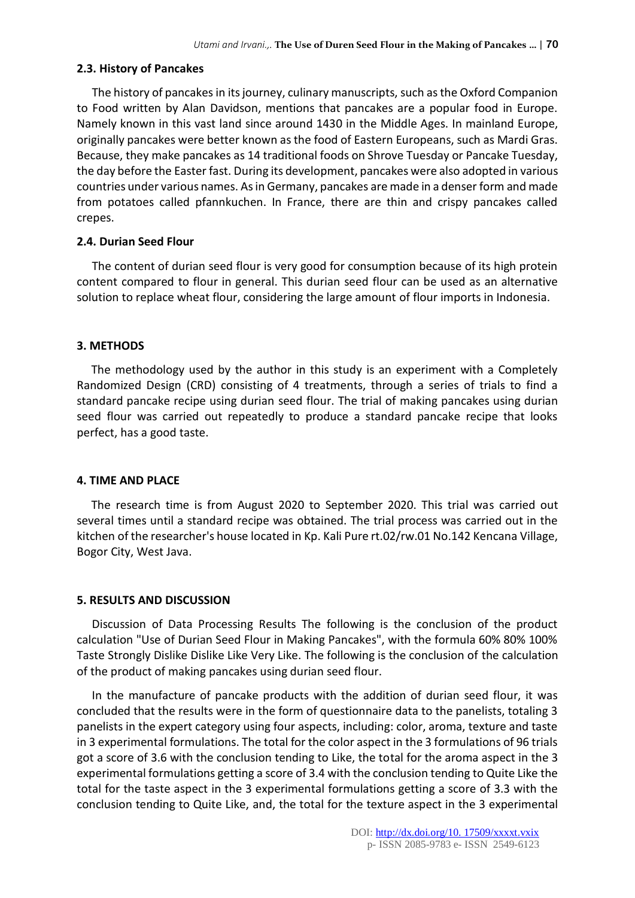# **2.3. History of Pancakes**

The history of pancakes in its journey, culinary manuscripts, such as the Oxford Companion to Food written by Alan Davidson, mentions that pancakes are a popular food in Europe. Namely known in this vast land since around 1430 in the Middle Ages. In mainland Europe, originally pancakes were better known as the food of Eastern Europeans, such as Mardi Gras. Because, they make pancakes as 14 traditional foods on Shrove Tuesday or Pancake Tuesday, the day before the Easter fast. During its development, pancakes were also adopted in various countries under various names. As in Germany, pancakes are made in a denser form and made from potatoes called pfannkuchen. In France, there are thin and crispy pancakes called crepes.

# **2.4. Durian Seed Flour**

The content of durian seed flour is very good for consumption because of its high protein content compared to flour in general. This durian seed flour can be used as an alternative solution to replace wheat flour, considering the large amount of flour imports in Indonesia.

# **3. METHODS**

The methodology used by the author in this study is an experiment with a Completely Randomized Design (CRD) consisting of 4 treatments, through a series of trials to find a standard pancake recipe using durian seed flour. The trial of making pancakes using durian seed flour was carried out repeatedly to produce a standard pancake recipe that looks perfect, has a good taste.

# **4. TIME AND PLACE**

The research time is from August 2020 to September 2020. This trial was carried out several times until a standard recipe was obtained. The trial process was carried out in the kitchen of the researcher's house located in Kp. Kali Pure rt.02/rw.01 No.142 Kencana Village, Bogor City, West Java.

# **5. RESULTS AND DISCUSSION**

Discussion of Data Processing Results The following is the conclusion of the product calculation "Use of Durian Seed Flour in Making Pancakes", with the formula 60% 80% 100% Taste Strongly Dislike Dislike Like Very Like. The following is the conclusion of the calculation of the product of making pancakes using durian seed flour.

In the manufacture of pancake products with the addition of durian seed flour, it was concluded that the results were in the form of questionnaire data to the panelists, totaling 3 panelists in the expert category using four aspects, including: color, aroma, texture and taste in 3 experimental formulations. The total for the color aspect in the 3 formulations of 96 trials got a score of 3.6 with the conclusion tending to Like, the total for the aroma aspect in the 3 experimental formulations getting a score of 3.4 with the conclusion tending to Quite Like the total for the taste aspect in the 3 experimental formulations getting a score of 3.3 with the conclusion tending to Quite Like, and, the total for the texture aspect in the 3 experimental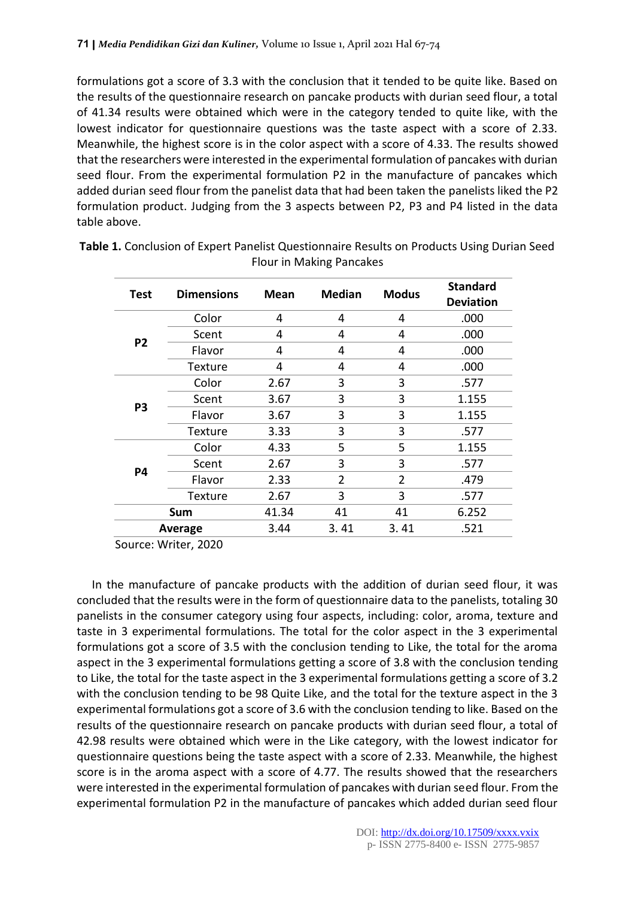formulations got a score of 3.3 with the conclusion that it tended to be quite like. Based on the results of the questionnaire research on pancake products with durian seed flour, a total of 41.34 results were obtained which were in the category tended to quite like, with the lowest indicator for questionnaire questions was the taste aspect with a score of 2.33. Meanwhile, the highest score is in the color aspect with a score of 4.33. The results showed that the researchers were interested in the experimental formulation of pancakes with durian seed flour. From the experimental formulation P2 in the manufacture of pancakes which added durian seed flour from the panelist data that had been taken the panelists liked the P2 formulation product. Judging from the 3 aspects between P2, P3 and P4 listed in the data table above.

| Test           | <b>Dimensions</b> | Mean  | <b>Median</b>  | <b>Modus</b> | <b>Standard</b><br><b>Deviation</b> |
|----------------|-------------------|-------|----------------|--------------|-------------------------------------|
| P <sub>2</sub> | Color             | 4     | 4              | 4            | .000                                |
|                | Scent             | 4     | 4              | 4            | .000                                |
|                | Flavor            | 4     | 4              | 4            | .000                                |
|                | Texture           | 4     | 4              | 4            | .000                                |
| P <sub>3</sub> | Color             | 2.67  | 3              | 3            | .577                                |
|                | Scent             | 3.67  | 3              | 3            | 1.155                               |
|                | Flavor            | 3.67  | 3              | 3            | 1.155                               |
|                | Texture           | 3.33  | 3              | 3            | .577                                |
| <b>P4</b>      | Color             | 4.33  | 5              | 5            | 1.155                               |
|                | Scent             | 2.67  | 3              | 3            | .577                                |
|                | Flavor            | 2.33  | $\overline{2}$ | 2            | .479                                |
|                | Texture           | 2.67  | 3              | 3            | .577                                |
| Sum            |                   | 41.34 | 41             | 41           | 6.252                               |
| Average        |                   | 3.44  | 3.41           | 3.41         | .521                                |

**Table 1.** Conclusion of Expert Panelist Questionnaire Results on Products Using Durian Seed Flour in Making Pancakes

Source: Writer, 2020

In the manufacture of pancake products with the addition of durian seed flour, it was concluded that the results were in the form of questionnaire data to the panelists, totaling 30 panelists in the consumer category using four aspects, including: color, aroma, texture and taste in 3 experimental formulations. The total for the color aspect in the 3 experimental formulations got a score of 3.5 with the conclusion tending to Like, the total for the aroma aspect in the 3 experimental formulations getting a score of 3.8 with the conclusion tending to Like, the total for the taste aspect in the 3 experimental formulations getting a score of 3.2 with the conclusion tending to be 98 Quite Like, and the total for the texture aspect in the 3 experimental formulations got a score of 3.6 with the conclusion tending to like. Based on the results of the questionnaire research on pancake products with durian seed flour, a total of 42.98 results were obtained which were in the Like category, with the lowest indicator for questionnaire questions being the taste aspect with a score of 2.33. Meanwhile, the highest score is in the aroma aspect with a score of 4.77. The results showed that the researchers were interested in the experimental formulation of pancakes with durian seed flour. From the experimental formulation P2 in the manufacture of pancakes which added durian seed flour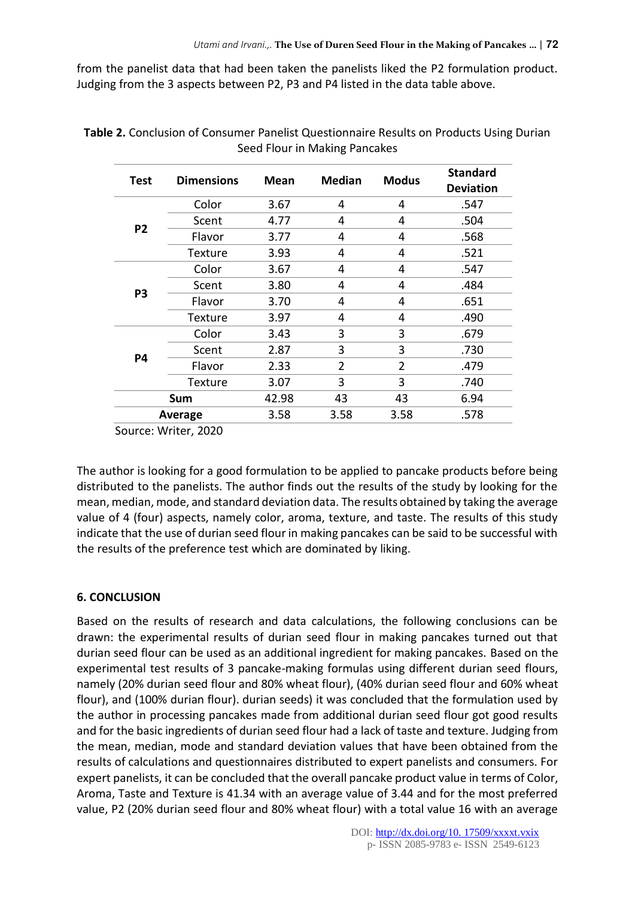from the panelist data that had been taken the panelists liked the P2 formulation product. Judging from the 3 aspects between P2, P3 and P4 listed in the data table above.

| Test           | <b>Dimensions</b> | Mean | <b>Median</b>  | <b>Modus</b>   | <b>Standard</b><br><b>Deviation</b> |
|----------------|-------------------|------|----------------|----------------|-------------------------------------|
| P <sub>2</sub> | Color             | 3.67 | 4              | 4              | .547                                |
|                | Scent             | 4.77 | 4              | 4              | .504                                |
|                | Flavor            | 3.77 | 4              | 4              | .568                                |
|                | Texture           | 3.93 | 4              | 4              | .521                                |
| P <sub>3</sub> | Color             | 3.67 | 4              | 4              | .547                                |
|                | Scent             | 3.80 | 4              | 4              | .484                                |
|                | Flavor            | 3.70 | 4              | 4              | .651                                |
|                | Texture           | 3.97 | 4              | 4              | .490                                |
| P4             | Color             | 3.43 | 3              | 3              | .679                                |
|                | Scent             | 2.87 | 3              | 3              | .730                                |
|                | Flavor            | 2.33 | $\overline{2}$ | $\overline{2}$ | .479                                |
|                | Texture           | 3.07 | 3              | 3              | .740                                |
|                | Sum               |      | 43             | 43             | 6.94                                |
| Average        |                   | 3.58 | 3.58           | 3.58           | .578                                |

**Table 2.** Conclusion of Consumer Panelist Questionnaire Results on Products Using Durian Seed Flour in Making Pancakes

Source: Writer, 2020

The author is looking for a good formulation to be applied to pancake products before being distributed to the panelists. The author finds out the results of the study by looking for the mean, median, mode, and standard deviation data. The results obtained by taking the average value of 4 (four) aspects, namely color, aroma, texture, and taste. The results of this study indicate that the use of durian seed flour in making pancakes can be said to be successful with the results of the preference test which are dominated by liking.

# **6. CONCLUSION**

Based on the results of research and data calculations, the following conclusions can be drawn: the experimental results of durian seed flour in making pancakes turned out that durian seed flour can be used as an additional ingredient for making pancakes. Based on the experimental test results of 3 pancake-making formulas using different durian seed flours, namely (20% durian seed flour and 80% wheat flour), (40% durian seed flour and 60% wheat flour), and (100% durian flour). durian seeds) it was concluded that the formulation used by the author in processing pancakes made from additional durian seed flour got good results and for the basic ingredients of durian seed flour had a lack of taste and texture. Judging from the mean, median, mode and standard deviation values that have been obtained from the results of calculations and questionnaires distributed to expert panelists and consumers. For expert panelists, it can be concluded that the overall pancake product value in terms of Color, Aroma, Taste and Texture is 41.34 with an average value of 3.44 and for the most preferred value, P2 (20% durian seed flour and 80% wheat flour) with a total value 16 with an average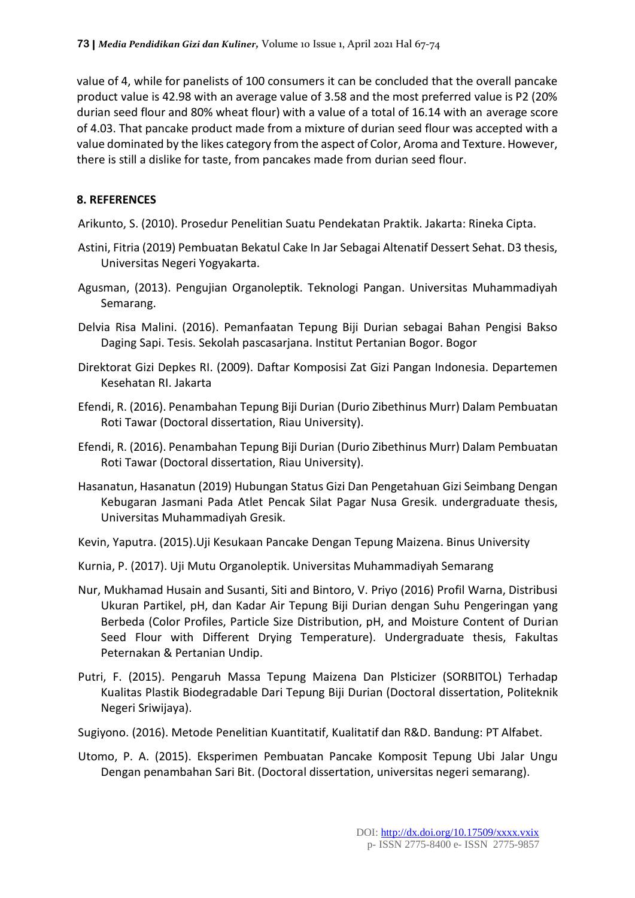value of 4, while for panelists of 100 consumers it can be concluded that the overall pancake product value is 42.98 with an average value of 3.58 and the most preferred value is P2 (20% durian seed flour and 80% wheat flour) with a value of a total of 16.14 with an average score of 4.03. That pancake product made from a mixture of durian seed flour was accepted with a value dominated by the likes category from the aspect of Color, Aroma and Texture. However, there is still a dislike for taste, from pancakes made from durian seed flour.

# **8. REFERENCES**

Arikunto, S. (2010). Prosedur Penelitian Suatu Pendekatan Praktik. Jakarta: Rineka Cipta.

- Astini, Fitria (2019) Pembuatan Bekatul Cake In Jar Sebagai Altenatif Dessert Sehat. D3 thesis, Universitas Negeri Yogyakarta.
- Agusman, (2013). Pengujian Organoleptik. Teknologi Pangan. Universitas Muhammadiyah Semarang.
- Delvia Risa Malini. (2016). Pemanfaatan Tepung Biji Durian sebagai Bahan Pengisi Bakso Daging Sapi. Tesis. Sekolah pascasarjana. Institut Pertanian Bogor. Bogor
- Direktorat Gizi Depkes RI. (2009). Daftar Komposisi Zat Gizi Pangan Indonesia. Departemen Kesehatan RI. Jakarta
- Efendi, R. (2016). Penambahan Tepung Biji Durian (Durio Zibethinus Murr) Dalam Pembuatan Roti Tawar (Doctoral dissertation, Riau University).
- Efendi, R. (2016). Penambahan Tepung Biji Durian (Durio Zibethinus Murr) Dalam Pembuatan Roti Tawar (Doctoral dissertation, Riau University).
- Hasanatun, Hasanatun (2019) Hubungan Status Gizi Dan Pengetahuan Gizi Seimbang Dengan Kebugaran Jasmani Pada Atlet Pencak Silat Pagar Nusa Gresik. undergraduate thesis, Universitas Muhammadiyah Gresik.

Kevin, Yaputra. (2015).Uji Kesukaan Pancake Dengan Tepung Maizena. Binus University

- Kurnia, P. (2017). Uji Mutu Organoleptik. Universitas Muhammadiyah Semarang
- Nur, Mukhamad Husain and Susanti, Siti and Bintoro, V. Priyo (2016) Profil Warna, Distribusi Ukuran Partikel, pH, dan Kadar Air Tepung Biji Durian dengan Suhu Pengeringan yang Berbeda (Color Profiles, Particle Size Distribution, pH, and Moisture Content of Durian Seed Flour with Different Drying Temperature). Undergraduate thesis, Fakultas Peternakan & Pertanian Undip.
- Putri, F. (2015). Pengaruh Massa Tepung Maizena Dan Plsticizer (SORBITOL) Terhadap Kualitas Plastik Biodegradable Dari Tepung Biji Durian (Doctoral dissertation, Politeknik Negeri Sriwijaya).
- Sugiyono. (2016). Metode Penelitian Kuantitatif, Kualitatif dan R&D. Bandung: PT Alfabet.
- Utomo, P. A. (2015). Eksperimen Pembuatan Pancake Komposit Tepung Ubi Jalar Ungu Dengan penambahan Sari Bit. (Doctoral dissertation, universitas negeri semarang).